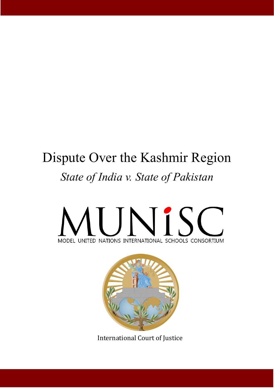# Dispute Over the Kashmir Region *State of India v. State of Pakistan*





International Court of Justice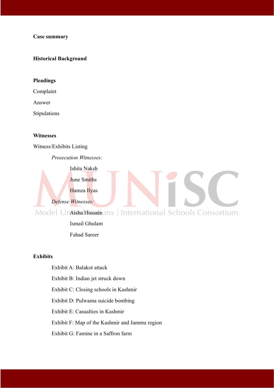#### **Case summary**

#### **Historical Background**

#### **Pleadings**

Complaint

Answer

Stipulations

#### **Witnesses**

Witness/Exhibits Listing

*Prosecution Witnesses:*

Ishita Naksh

June Smiths

Hamza Ilyas

*Defense Witnesses:*

Model Unaisha Hussainons | International Schools Consortium

Ismail Ghulam Fahad Sareer

#### **Exhibits**

Exhibit A: Balakot attack Exhibit B: Indian jet struck down Exhibit C: Closing schools in Kashmir Exhibit D: Pulwama suicide bombing Exhibit E: Casualties in Kashmir Exhibit F: Map of the Kashmir and Jammu region Exhibit G: Famine in a Saffron farm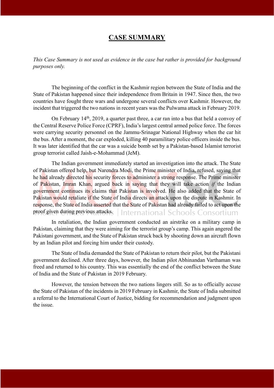# **CASE SUMMARY**

*This Case Summary is not used as evidence in the case but rather is provided for background purposes only.*

The beginning of the conflict in the Kashmir region between the State of India and the State of Pakistan happened since their independence from Britain in 1947. Since then, the two countries have fought three wars and undergone several conflicts over Kashmir. However, the incident that triggered the two nations in recent years was the Pulwama attack in February 2019.

On February 14<sup>th</sup>, 2019, a quarter past three, a car ran into a bus that held a convoy of the Central Reserve Police Force (CPRF), India's largest central armed police force. The forces were carrying security personnel on the Jammu-Srinagar National Highway when the car hit the bus. After a moment, the car exploded, killing 40 paramilitary police officers inside the bus. It was later identified that the car was a suicide bomb set by a Pakistan-based Islamist terrorist group terrorist called Jaish-e-Mohammad (JeM).

The Indian government immediately started an investigation into the attack. The State of Pakistan offered help, but Narendra Modi, the Prime minister of India, refused, saying that he had already directed his security forces to administer a strong response. The Prime minister of Pakistan, Imran Khan, argued back in saying that they will take action *if* the Indian government continues its claims that Pakistan is involved. He also added that the State of Pakistan would retaliate if the State of India directs an attack upon the dispute in Kashmir. In response, the State of India asserted that the State of Pakistan had already failed to act upon the proof given during previous attacks. | International Schools Consortium

In retaliation, the Indian government conducted an airstrike on a military camp in Pakistan, claiming that they were aiming for the terrorist group's camp. This again angered the Pakistani government, and the State of Pakistan struck back by shooting down an aircraft flown by an Indian pilot and forcing him under their custody.

The State of India demanded the State of Pakistan to return their pilot, but the Pakistani government declined. After three days, however, the Indian pilot Abhinandan Varthaman was freed and returned to his country. This was essentially the end of the conflict between the State of India and the State of Pakistan in 2019 February.

However, the tension between the two nations lingers still. So as to officially accuse the State of Pakistan of the incidents in 2019 February in Kashmir, the State of India submitted a referral to the International Court of Justice, bidding for recommendation and judgment upon the issue.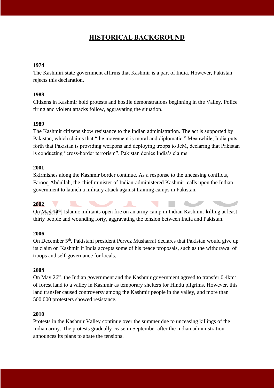# **HISTORICAL BACKGROUND**

#### **1974**

The Kashmiri state government affirms that Kashmir is a part of India. However, Pakistan rejects this declaration.

#### **1988**

Citizens in Kashmir hold protests and hostile demonstrations beginning in the Valley. Police firing and violent attacks follow, aggravating the situation.

#### **1989**

The Kashmir citizens show resistance to the Indian administration. The act is supported by Pakistan, which claims that "the movement is moral and diplomatic." Meanwhile, India puts forth that Pakistan is providing weapons and deploying troops to JeM, declaring that Pakistan is conducting "cross-border terrorism". Pakistan denies India's claims.

#### **2001**

Skirmishes along the Kashmir border continue. As a response to the unceasing conflicts, Farooq Abdullah, the chief minister of Indian-administered Kashmir, calls upon the Indian government to launch a military attack against training camps in Pakistan.

#### **2002**

On May 14<sup>th</sup>, Islamic militants open fire on an army camp in Indian Kashmir, killing at least thirty people and wounding forty, aggravating the tension between India and Pakistan.

#### **2006**

On December 5<sup>th</sup>, Pakistani president Pervez Musharraf declares that Pakistan would give up its claim on Kashmir if India accepts some of his peace proposals, such as the withdrawal of troops and self-governance for locals.

#### **2008**

On May  $26<sup>th</sup>$ , the Indian government and the Kashmir government agreed to transfer  $0.4 \text{km}^2$ of forest land to a valley in Kashmir as temporary shelters for Hindu pilgrims. However, this land transfer caused controversy among the Kashmir people in the valley, and more than 500,000 protesters showed resistance.

#### **2010**

Protests in the Kashmir Valley continue over the summer due to unceasing killings of the Indian army. The protests gradually cease in September after the Indian administration announces its plans to abate the tensions.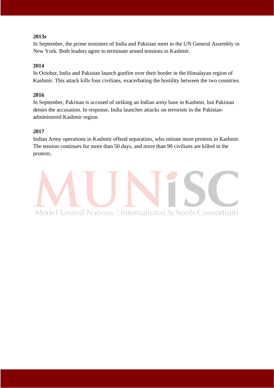#### **2013s**

In September, the prime ministers of India and Pakistan meet in the UN General Assembly in New York. Both leaders agree to terminate armed tensions in Kashmir.

#### **2014**

In October, India and Pakistan launch gunfire over their border in the Himalayan region of Kashmir. This attack kills four civilians, exacerbating the hostility between the two countries.

#### **2016**

In September, Pakistan is accused of striking an Indian army base in Kashmir, but Pakistan denies the accusation. In response, India launches attacks on terrorists in the Pakistanadministered Kashmir region.

#### **2017**

Indian Army operations in Kashmir offend separatists, who initiate more protests in Kashmir. The tension continues for more than 50 days, and more than 90 civilians are killed in the protests.

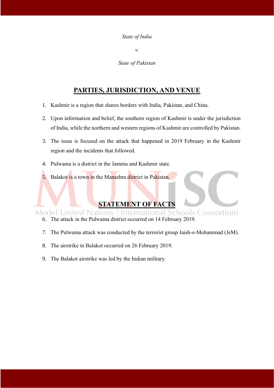#### *State of India*

*v.*

*State of Pakistan*

# **PARTIES, JURISDICTION, AND VENUE**

- 1. Kashmir is a region that shares borders with India, Pakistan, and China.
- 2. Upon information and belief, the southern region of Kashmir is under the jurisdiction of India, while the northern and western regions of Kashmir are controlled by Pakistan.
- 3. The issue is focused on the attack that happened in 2019 February in the Kashmir region and the incidents that followed.
- 4. Pulwama is a district in the Jammu and Kashmir state.
- 5. Balakot is a town in the Mansehra district in Pakistan.

# **STATEMENT OF FACTS**

International Schools Consortium **Model United Nations** 

- 6. The attack in the Pulwama district occurred on 14 February 2019.
- 7. The Pulwama attack was conducted by the terrorist group Jaish-e-Mohammad (JeM).
- 8. The airstrike in Balakot occurred on 26 February 2019.
- 9. The Balakot airstrike was led by the Indian military.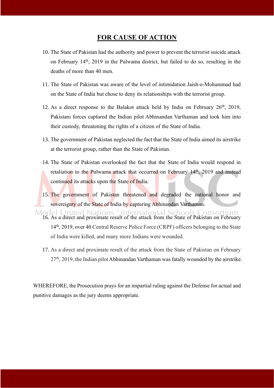# **FOR CAUSE OF ACTION**

- 10. The State of Pakistan had the authority and power to prevent the terrorist suicide attack on February 14th, 2019 in the Pulwama district, but failed to do so, resulting in the deaths of more than 40 men.
- 11. The State of Pakistan was aware of the level of intimidation Jaish-e-Mohammad had on the State of India but chose to deny its relationships with the terrorist group.
- 12. As a direct response to the Balakot attack held by India on February  $26<sup>th</sup>$ , 2019, Pakistani forces captured the Indian pilot Abhinandan Varthaman and took him into their custody, threatening the rights of a citizen of the State of India.
- 13. The government of Pakistan neglected the fact that the State of India aimed its airstrike at the terrorist group, rather than the State of Pakistan.
- 14. The State of Pakistan overlooked the fact that the State of India would respond in retaliation to the Pulwama attack that occurred on February 14<sup>th</sup>, 2019 and instead continued its attacks upon the State of India.
- 15. The government of Pakistan threatened and degraded the national honor and sovereignty of the State of India by capturing Abhinandan Varthaman.
- Model United Nations International Schools Consortium<br>16. As a direct and proximate result of the attack from the State of Pakistan on February 14<sup>th</sup>, 2019, over 40 Central Reserve Police Force (CRPF) officers belonging to the State of India were killed, and many more Indians were wounded.
	- 17. As a direct and proximate result of the attack from the State of Pakistan on February 27<sup>th</sup>, 2019, the Indian pilot Abhinandan Varthaman was fatally wounded by the airstrike.

WHEREFORE, the Prosecution prays for an impartial ruling against the Defense for actual and punitive damages as the jury deems appropriate.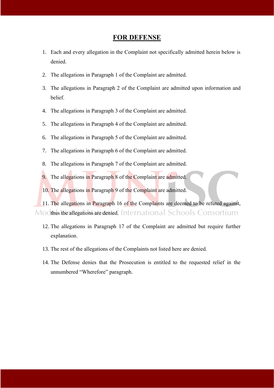#### **FOR DEFENSE**

- 1. Each and every allegation in the Complaint not specifically admitted herein below is denied.
- 2. The allegations in Paragraph 1 of the Complaint are admitted.
- 3. The allegations in Paragraph 2 of the Complaint are admitted upon information and belief.
- 4. The allegations in Paragraph 3 of the Complaint are admitted.
- 5. The allegations in Paragraph 4 of the Complaint are admitted.
- 6. The allegations in Paragraph 5 of the Complaint are admitted.
- 7. The allegations in Paragraph 6 of the Complaint are admitted.
- 8. The allegations in Paragraph 7 of the Complaint are admitted.
- 9. The allegations in Paragraph 8 of the Complaint are admitted.
- 10. The allegations in Paragraph 9 of the Complaint are admitted.

11. The allegations in Paragraph 16 of the Complaints are deemed to be refuted against, Modifius the allegations are denied. International Schools Consortium

- 12. The allegations in Paragraph 17 of the Complaint are admitted but require further explanation.
- 13. The rest of the allegations of the Complaints not listed here are denied.
- 14. The Defense denies that the Prosecution is entitled to the requested relief in the unnumbered "Wherefore" paragraph.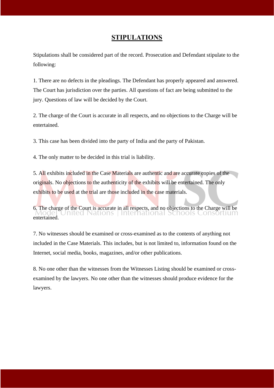# **STIPULATIONS**

Stipulations shall be considered part of the record. Prosecution and Defendant stipulate to the following:

1. There are no defects in the pleadings. The Defendant has properly appeared and answered. The Court has jurisdiction over the parties. All questions of fact are being submitted to the jury. Questions of law will be decided by the Court.

2. The charge of the Court is accurate in all respects, and no objections to the Charge will be entertained.

3. This case has been divided into the party of India and the party of Pakistan.

4. The only matter to be decided in this trial is liability.

5. All exhibits included in the Case Materials are authentic and are accurate copies of the originals. No objections to the authenticity of the exhibits will be entertained. The only exhibits to be used at the trial are those included in the case materials.

6. The charge of the Court is accurate in all respects, and no objections to the Charge will be Model United Nations | International School's Consortium entertained.

7. No witnesses should be examined or cross-examined as to the contents of anything not included in the Case Materials. This includes, but is not limited to, information found on the Internet, social media, books, magazines, and/or other publications.

8. No one other than the witnesses from the Witnesses Listing should be examined or crossexamined by the lawyers. No one other than the witnesses should produce evidence for the lawyers.